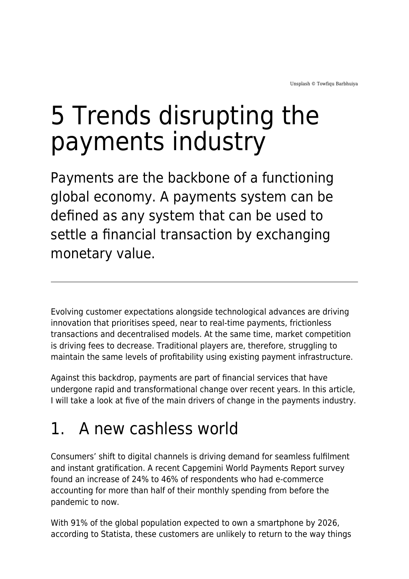# 5 Trends disrupting the payments industry

Payments are the backbone of a functioning global economy. A payments system can be defined as any system that can be used to settle a financial transaction by exchanging monetary value.

Evolving customer expectations alongside technological advances are driving innovation that prioritises speed, near to real-time payments, frictionless transactions and decentralised models. At the same time, market competition is driving fees to decrease. Traditional players are, therefore, struggling to maintain the same levels of profitability using existing payment infrastructure.

Against this backdrop, payments are part of financial services that have undergone rapid and transformational change over recent years. In this article, I will take a look at five of the main drivers of change in the payments industry.

## 1. A new cashless world

Consumers' shift to digital channels is driving demand for seamless fulfilment and instant gratification. A recent Capgemini World Payments Report survey found an increase of 24% to 46% of respondents who had e-commerce accounting for more than half of their monthly spending from before the pandemic to now.

With 91% of the global population expected to own a smartphone by 2026, according to Statista, these customers are unlikely to return to the way things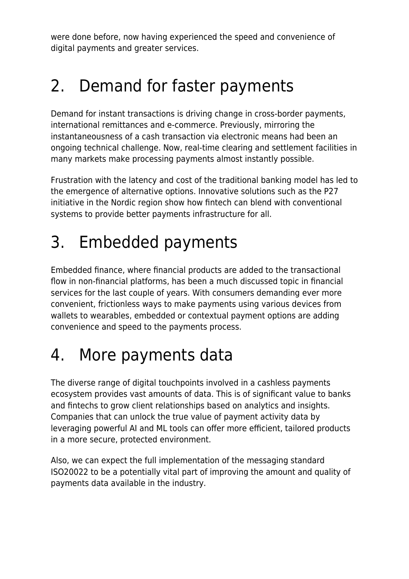were done before, now having experienced the speed and convenience of digital payments and greater services.

## 2. Demand for faster payments

Demand for instant transactions is driving change in cross-border payments, international remittances and e-commerce. Previously, mirroring the instantaneousness of a cash transaction via electronic means had been an ongoing technical challenge. Now, real-time clearing and settlement facilities in many markets make processing payments almost instantly possible.

Frustration with the latency and cost of the traditional banking model has led to the emergence of alternative options. Innovative solutions such as the P27 initiative in the Nordic region show how fintech can blend with conventional systems to provide better payments infrastructure for all.

## 3. Embedded payments

Embedded finance, where financial products are added to the transactional flow in non-financial platforms, has been a much discussed topic in financial services for the last couple of years. With consumers demanding ever more convenient, frictionless ways to make payments using various devices from wallets to wearables, embedded or contextual payment options are adding convenience and speed to the payments process.

## 4. More payments data

The diverse range of digital touchpoints involved in a cashless payments ecosystem provides vast amounts of data. This is of significant value to banks and fintechs to grow client relationships based on analytics and insights. Companies that can unlock the true value of payment activity data by leveraging powerful AI and ML tools can offer more efficient, tailored products in a more secure, protected environment.

Also, we can expect the full implementation of the messaging standard ISO20022 to be a potentially vital part of improving the amount and quality of payments data available in the industry.